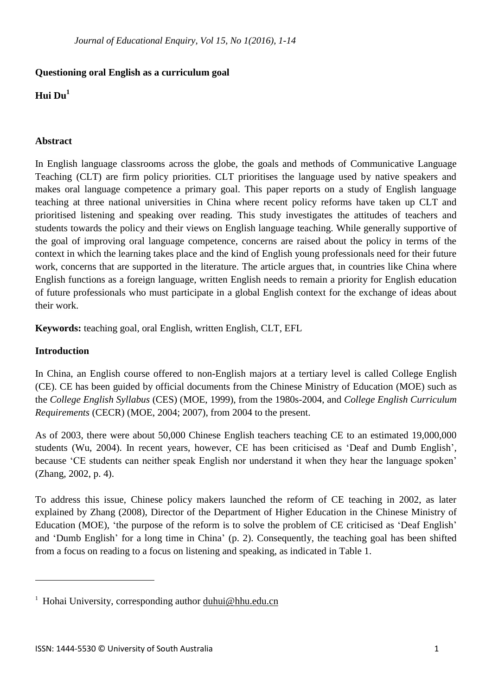## **Questioning oral English as a curriculum goal**

# **Hui Du<sup>1</sup>**

## **Abstract**

In English language classrooms across the globe, the goals and methods of Communicative Language Teaching (CLT) are firm policy priorities. CLT prioritises the language used by native speakers and makes oral language competence a primary goal. This paper reports on a study of English language teaching at three national universities in China where recent policy reforms have taken up CLT and prioritised listening and speaking over reading. This study investigates the attitudes of teachers and students towards the policy and their views on English language teaching. While generally supportive of the goal of improving oral language competence, concerns are raised about the policy in terms of the context in which the learning takes place and the kind of English young professionals need for their future work, concerns that are supported in the literature. The article argues that, in countries like China where English functions as a foreign language, written English needs to remain a priority for English education of future professionals who must participate in a global English context for the exchange of ideas about their work.

**Keywords:** teaching goal, oral English, written English, CLT, EFL

### **Introduction**

l

In China, an English course offered to non-English majors at a tertiary level is called College English (CE). CE has been guided by official documents from the Chinese Ministry of Education (MOE) such as the *College English Syllabus* (CES) (MOE, 1999), from the 1980s-2004, and *College English Curriculum Requirements* (CECR) (MOE, 2004; 2007), from 2004 to the present.

As of 2003, there were about 50,000 Chinese English teachers teaching CE to an estimated 19,000,000 students (Wu, 2004). In recent years, however, CE has been criticised as 'Deaf and Dumb English', because 'CE students can neither speak English nor understand it when they hear the language spoken' (Zhang, 2002, p. 4).

To address this issue, Chinese policy makers launched the reform of CE teaching in 2002, as later explained by Zhang (2008), Director of the Department of Higher Education in the Chinese Ministry of Education (MOE), 'the purpose of the reform is to solve the problem of CE criticised as 'Deaf English' and 'Dumb English' for a long time in China' (p. 2). Consequently, the teaching goal has been shifted from a focus on reading to a focus on listening and speaking, as indicated in Table 1.

<sup>&</sup>lt;sup>1</sup> Hohai University, corresponding author [duhui@hhu.edu.cn](mailto:duhui@hhu.edu.cn)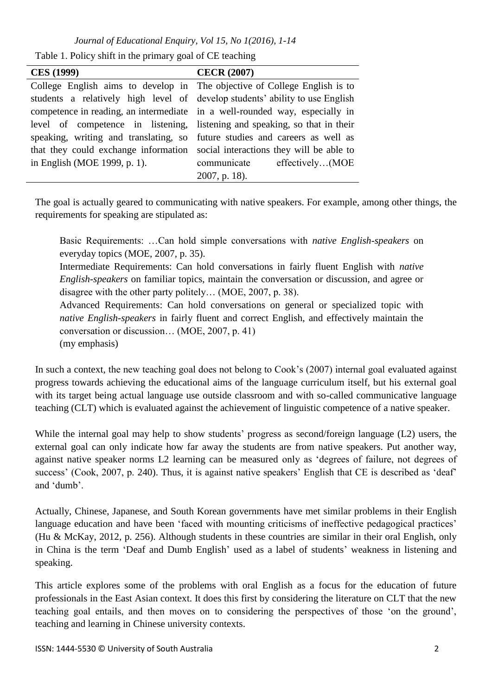Table 1. Policy shift in the primary goal of CE teaching

| <b>CES</b> (1999)                                                             | <b>CECR (2007)</b>          |  |  |  |  |
|-------------------------------------------------------------------------------|-----------------------------|--|--|--|--|
| College English aims to develop in The objective of College English is to     |                             |  |  |  |  |
| students a relatively high level of develop students' ability to use English  |                             |  |  |  |  |
| competence in reading, an intermediate in a well-rounded way, especially in   |                             |  |  |  |  |
| level of competence in listening, listening and speaking, so that in their    |                             |  |  |  |  |
| speaking, writing and translating, so future studies and careers as well as   |                             |  |  |  |  |
| that they could exchange information social interactions they will be able to |                             |  |  |  |  |
| in English (MOE 1999, p. 1).                                                  | communicate effectively(MOE |  |  |  |  |
|                                                                               | $2007$ , p. 18).            |  |  |  |  |

The goal is actually geared to communicating with native speakers. For example, among other things, the requirements for speaking are stipulated as:

Basic Requirements: …Can hold simple conversations with *native English-speakers* on everyday topics (MOE, 2007, p. 35).

Intermediate Requirements: Can hold conversations in fairly fluent English with *native English-speakers* on familiar topics, maintain the conversation or discussion, and agree or disagree with the other party politely… (MOE, 2007, p. 38).

Advanced Requirements: Can hold conversations on general or specialized topic with *native English-speakers* in fairly fluent and correct English, and effectively maintain the conversation or discussion… (MOE, 2007, p. 41)

(my emphasis)

In such a context, the new teaching goal does not belong to Cook's (2007) internal goal evaluated against progress towards achieving the educational aims of the language curriculum itself, but his external goal with its target being actual language use outside classroom and with so-called communicative language teaching (CLT) which is evaluated against the achievement of linguistic competence of a native speaker.

While the internal goal may help to show students' progress as second/foreign language (L2) users, the external goal can only indicate how far away the students are from native speakers. Put another way, against native speaker norms L2 learning can be measured only as 'degrees of failure, not degrees of success' (Cook, 2007, p. 240). Thus, it is against native speakers' English that CE is described as 'deaf' and 'dumb'.

Actually, Chinese, Japanese, and South Korean governments have met similar problems in their English language education and have been 'faced with mounting criticisms of ineffective pedagogical practices' (Hu & McKay, 2012, p. 256). Although students in these countries are similar in their oral English, only in China is the term 'Deaf and Dumb English' used as a label of students' weakness in listening and speaking.

This article explores some of the problems with oral English as a focus for the education of future professionals in the East Asian context. It does this first by considering the literature on CLT that the new teaching goal entails, and then moves on to considering the perspectives of those 'on the ground', teaching and learning in Chinese university contexts.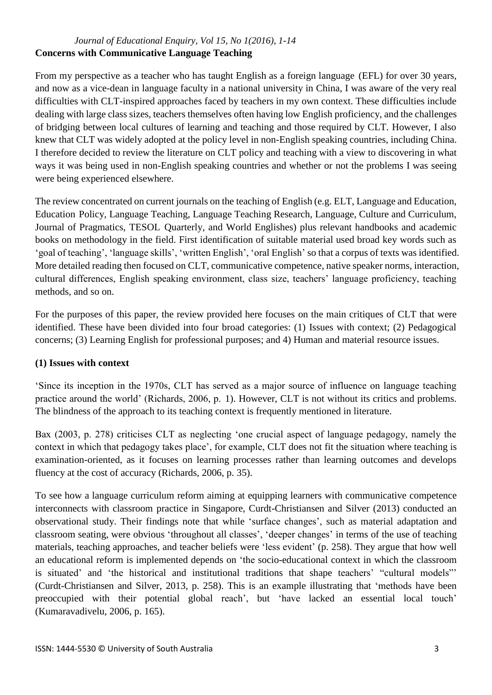## *Journal of Educational Enquiry, Vol 15, No 1(2016), 1-14* **Concerns with Communicative Language Teaching**

From my perspective as a teacher who has taught English as a foreign language (EFL) for over 30 years, and now as a vice-dean in language faculty in a national university in China, I was aware of the very real difficulties with CLT-inspired approaches faced by teachers in my own context. These difficulties include dealing with large class sizes, teachers themselves often having low English proficiency, and the challenges of bridging between local cultures of learning and teaching and those required by CLT. However, I also knew that CLT was widely adopted at the policy level in non-English speaking countries, including China. I therefore decided to review the literature on CLT policy and teaching with a view to discovering in what ways it was being used in non-English speaking countries and whether or not the problems I was seeing were being experienced elsewhere.

The review concentrated on current journals on the teaching of English (e.g. ELT, Language and Education, Education Policy, Language Teaching, Language Teaching Research, Language, Culture and Curriculum, Journal of Pragmatics, TESOL Quarterly, and World Englishes) plus relevant handbooks and academic books on methodology in the field. First identification of suitable material used broad key words such as 'goal of teaching', 'language skills', 'written English', 'oral English' so that a corpus of texts was identified. More detailed reading then focused on CLT, communicative competence, native speaker norms, interaction, cultural differences, English speaking environment, class size, teachers' language proficiency, teaching methods, and so on.

For the purposes of this paper, the review provided here focuses on the main critiques of CLT that were identified. These have been divided into four broad categories: (1) Issues with context; (2) Pedagogical concerns; (3) Learning English for professional purposes; and 4) Human and material resource issues.

### **(1) Issues with context**

'Since its inception in the 1970s, CLT has served as a major source of influence on language teaching practice around the world' (Richards, 2006, p. 1). However, CLT is not without its critics and problems. The blindness of the approach to its teaching context is frequently mentioned in literature.

Bax (2003, p. 278) criticises CLT as neglecting 'one crucial aspect of language pedagogy, namely the context in which that pedagogy takes place', for example, CLT does not fit the situation where teaching is examination-oriented, as it focuses on learning processes rather than learning outcomes and develops fluency at the cost of accuracy (Richards, 2006, p. 35).

To see how a language curriculum reform aiming at equipping learners with communicative competence interconnects with classroom practice in Singapore, Curdt-Christiansen and Silver (2013) conducted an observational study. Their findings note that while 'surface changes', such as material adaptation and classroom seating, were obvious 'throughout all classes', 'deeper changes' in terms of the use of teaching materials, teaching approaches, and teacher beliefs were 'less evident' (p. 258). They argue that how well an educational reform is implemented depends on 'the socio-educational context in which the classroom is situated' and 'the historical and institutional traditions that shape teachers' "cultural models"' (Curdt-Christiansen and Silver, 2013, p. 258). This is an example illustrating that 'methods have been preoccupied with their potential global reach', but 'have lacked an essential local touch' (Kumaravadivelu, 2006, p. 165).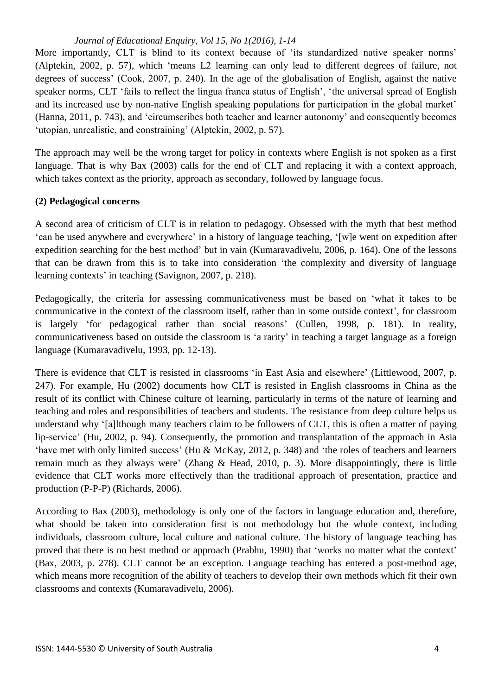More importantly. CLT is blind to its context because of 'its standardized native speaker norms' (Alptekin, 2002, p. 57), which 'means L2 learning can only lead to different degrees of failure, not degrees of success' (Cook, 2007, p. 240). In the age of the globalisation of English, against the native speaker norms, CLT 'fails to reflect the lingua franca status of English', 'the universal spread of English and its increased use by non-native English speaking populations for participation in the global market' (Hanna, 2011, p. 743), and 'circumscribes both teacher and learner autonomy' and consequently becomes 'utopian, unrealistic, and constraining' (Alptekin, 2002, p. 57).

The approach may well be the wrong target for policy in contexts where English is not spoken as a first language. That is why Bax (2003) calls for the end of CLT and replacing it with a context approach, which takes context as the priority, approach as secondary, followed by language focus.

### **(2) Pedagogical concerns**

A second area of criticism of CLT is in relation to pedagogy. Obsessed with the myth that best method 'can be used anywhere and everywhere' in a history of language teaching, '[w]e went on expedition after expedition searching for the best method' but in vain (Kumaravadivelu, 2006, p. 164). One of the lessons that can be drawn from this is to take into consideration 'the complexity and diversity of language learning contexts' in teaching (Savignon, 2007, p. 218).

Pedagogically, the criteria for assessing communicativeness must be based on 'what it takes to be communicative in the context of the classroom itself, rather than in some outside context', for classroom is largely 'for pedagogical rather than social reasons' (Cullen, 1998, p. 181). In reality, communicativeness based on outside the classroom is 'a rarity' in teaching a target language as a foreign language (Kumaravadivelu, 1993, pp. 12-13).

There is evidence that CLT is resisted in classrooms 'in East Asia and elsewhere' (Littlewood, 2007, p. 247). For example, Hu (2002) documents how CLT is resisted in English classrooms in China as the result of its conflict with Chinese culture of learning, particularly in terms of the nature of learning and teaching and roles and responsibilities of teachers and students. The resistance from deep culture helps us understand why '[a]lthough many teachers claim to be followers of CLT, this is often a matter of paying lip-service' (Hu, 2002, p. 94). Consequently, the promotion and transplantation of the approach in Asia 'have met with only limited success' (Hu & McKay, 2012, p. 348) and 'the roles of teachers and learners remain much as they always were' (Zhang & Head, 2010, p. 3). More disappointingly, there is little evidence that CLT works more effectively than the traditional approach of presentation, practice and production (P-P-P) (Richards, 2006).

According to Bax (2003), methodology is only one of the factors in language education and, therefore, what should be taken into consideration first is not methodology but the whole context, including individuals, classroom culture, local culture and national culture. The history of language teaching has proved that there is no best method or approach (Prabhu, 1990) that 'works no matter what the context' (Bax, 2003, p. 278). CLT cannot be an exception. Language teaching has entered a post-method age, which means more recognition of the ability of teachers to develop their own methods which fit their own classrooms and contexts (Kumaravadivelu, 2006).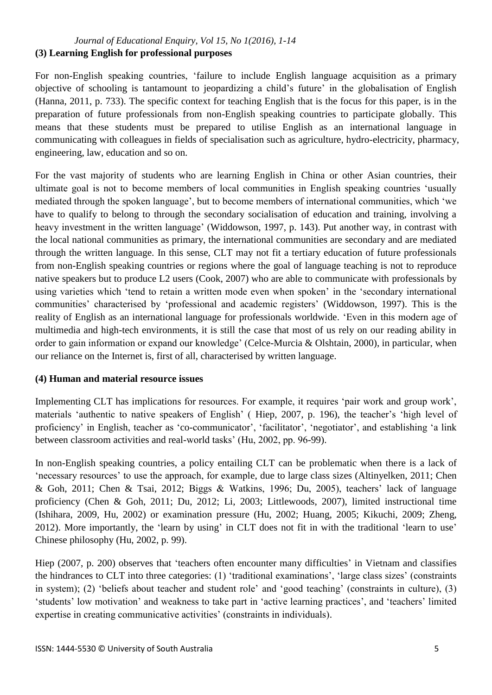#### *Journal of Educational Enquiry, Vol 15, No 1(2016), 1-14* **(3) Learning English for professional purposes**

For non-English speaking countries, 'failure to include English language acquisition as a primary objective of schooling is tantamount to jeopardizing a child's future' in the globalisation of English (Hanna, 2011, p. 733). The specific context for teaching English that is the focus for this paper, is in the preparation of future professionals from non-English speaking countries to participate globally. This means that these students must be prepared to utilise English as an international language in communicating with colleagues in fields of specialisation such as agriculture, hydro-electricity, pharmacy, engineering, law, education and so on.

For the vast majority of students who are learning English in China or other Asian countries, their ultimate goal is not to become members of local communities in English speaking countries 'usually mediated through the spoken language', but to become members of international communities, which 'we have to qualify to belong to through the secondary socialisation of education and training, involving a heavy investment in the written language' (Widdowson, 1997, p. 143). Put another way, in contrast with the local national communities as primary, the international communities are secondary and are mediated through the written language. In this sense, CLT may not fit a tertiary education of future professionals from non-English speaking countries or regions where the goal of language teaching is not to reproduce native speakers but to produce L2 users (Cook, 2007) who are able to communicate with professionals by using varieties which 'tend to retain a written mode even when spoken' in the 'secondary international communities' characterised by 'professional and academic registers' (Widdowson, 1997). This is the reality of English as an international language for professionals worldwide. 'Even in this modern age of multimedia and high-tech environments, it is still the case that most of us rely on our reading ability in order to gain information or expand our knowledge' (Celce-Murcia & Olshtain, 2000), in particular, when our reliance on the Internet is, first of all, characterised by written language.

### **(4) Human and material resource issues**

Implementing CLT has implications for resources. For example, it requires 'pair work and group work', materials 'authentic to native speakers of English' ( Hiep, 2007, p. 196), the teacher's 'high level of proficiency' in English, teacher as 'co-communicator', 'facilitator', 'negotiator', and establishing 'a link between classroom activities and real-world tasks' (Hu, 2002, pp. 96-99).

In non-English speaking countries, a policy entailing CLT can be problematic when there is a lack of 'necessary resources' to use the approach, for example, due to large class sizes (Altinyelken, 2011; Chen & Goh, 2011; Chen & Tsai, 2012; Biggs & Watkins, 1996; Du, 2005), teachers' lack of language proficiency (Chen & Goh, 2011; Du, 2012; Li, 2003; Littlewoods, 2007), limited instructional time (Ishihara, 2009, Hu, 2002) or examination pressure (Hu, 2002; Huang, 2005; Kikuchi, 2009; Zheng, 2012). More importantly, the 'learn by using' in CLT does not fit in with the traditional 'learn to use' Chinese philosophy (Hu, 2002, p. 99).

Hiep (2007, p. 200) observes that 'teachers often encounter many difficulties' in Vietnam and classifies the hindrances to CLT into three categories: (1) 'traditional examinations', 'large class sizes' (constraints in system); (2) 'beliefs about teacher and student role' and 'good teaching' (constraints in culture), (3) 'students' low motivation' and weakness to take part in 'active learning practices', and 'teachers' limited expertise in creating communicative activities' (constraints in individuals).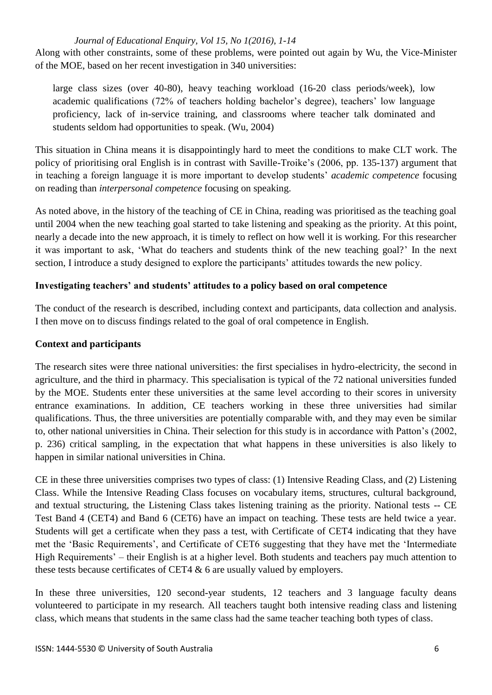Along with other constraints, some of these problems, were pointed out again by Wu, the Vice-Minister of the MOE, based on her recent investigation in 340 universities:

large class sizes (over 40-80), heavy teaching workload (16-20 class periods/week), low academic qualifications (72% of teachers holding bachelor's degree), teachers' low language proficiency, lack of in-service training, and classrooms where teacher talk dominated and students seldom had opportunities to speak. (Wu, 2004)

This situation in China means it is disappointingly hard to meet the conditions to make CLT work. The policy of prioritising oral English is in contrast with Saville-Troike's (2006, pp. 135-137) argument that in teaching a foreign language it is more important to develop students' *academic competence* focusing on reading than *interpersonal competence* focusing on speaking.

As noted above, in the history of the teaching of CE in China, reading was prioritised as the teaching goal until 2004 when the new teaching goal started to take listening and speaking as the priority. At this point, nearly a decade into the new approach, it is timely to reflect on how well it is working. For this researcher it was important to ask, 'What do teachers and students think of the new teaching goal?' In the next section, I introduce a study designed to explore the participants' attitudes towards the new policy.

### **Investigating teachers' and students' attitudes to a policy based on oral competence**

The conduct of the research is described, including context and participants, data collection and analysis. I then move on to discuss findings related to the goal of oral competence in English.

### **Context and participants**

The research sites were three national universities: the first specialises in hydro-electricity, the second in agriculture, and the third in pharmacy. This specialisation is typical of the 72 national universities funded by the MOE. Students enter these universities at the same level according to their scores in university entrance examinations. In addition, CE teachers working in these three universities had similar qualifications. Thus, the three universities are potentially comparable with, and they may even be similar to, other national universities in China. Their selection for this study is in accordance with Patton's (2002, p. 236) critical sampling, in the expectation that what happens in these universities is also likely to happen in similar national universities in China.

CE in these three universities comprises two types of class: (1) Intensive Reading Class, and (2) Listening Class. While the Intensive Reading Class focuses on vocabulary items, structures, cultural background, and textual structuring, the Listening Class takes listening training as the priority. National tests -- CE Test Band 4 (CET4) and Band 6 (CET6) have an impact on teaching. These tests are held twice a year. Students will get a certificate when they pass a test, with Certificate of CET4 indicating that they have met the 'Basic Requirements', and Certificate of CET6 suggesting that they have met the 'Intermediate High Requirements' – their English is at a higher level. Both students and teachers pay much attention to these tests because certificates of CET4 & 6 are usually valued by employers.

In these three universities, 120 second-year students, 12 teachers and 3 language faculty deans volunteered to participate in my research. All teachers taught both intensive reading class and listening class, which means that students in the same class had the same teacher teaching both types of class.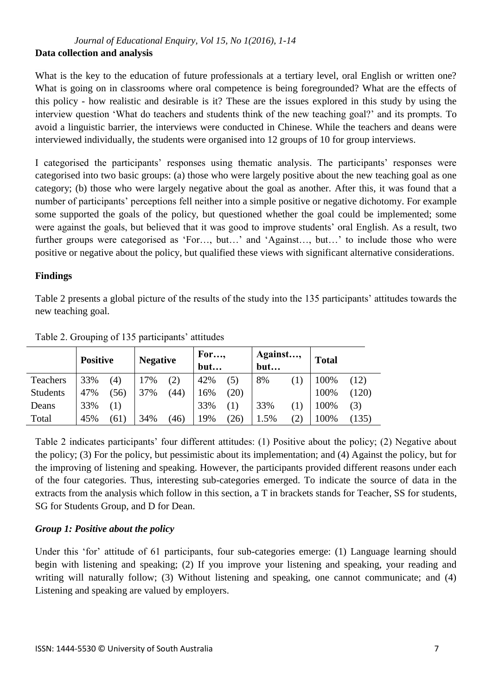## *Journal of Educational Enquiry, Vol 15, No 1(2016), 1-14* **Data collection and analysis**

What is the key to the education of future professionals at a tertiary level, oral English or written one? What is going on in classrooms where oral competence is being foregrounded? What are the effects of this policy - how realistic and desirable is it? These are the issues explored in this study by using the interview question 'What do teachers and students think of the new teaching goal?' and its prompts. To avoid a linguistic barrier, the interviews were conducted in Chinese. While the teachers and deans were interviewed individually, the students were organised into 12 groups of 10 for group interviews.

I categorised the participants' responses using thematic analysis. The participants' responses were categorised into two basic groups: (a) those who were largely positive about the new teaching goal as one category; (b) those who were largely negative about the goal as another. After this, it was found that a number of participants' perceptions fell neither into a simple positive or negative dichotomy. For example some supported the goals of the policy, but questioned whether the goal could be implemented; some were against the goals, but believed that it was good to improve students' oral English. As a result, two further groups were categorised as 'For..., but...' and 'Against..., but...' to include those who were positive or negative about the policy, but qualified these views with significant alternative considerations.

# **Findings**

Table 2 presents a global picture of the results of the study into the 135 participants' attitudes towards the new teaching goal.

|                 | <b>Positive</b> |      | <b>Negative</b> |      | For,<br>but |      | Against,<br>but |     | <b>Total</b> |       |
|-----------------|-----------------|------|-----------------|------|-------------|------|-----------------|-----|--------------|-------|
| Teachers        | 33%             | (4)  | 17%             | (2)  | 42%         | (5)  | 8%              |     | 100%         | (12)  |
| <b>Students</b> | 47%             | (56) | 37%             | (44) | 16%         | (20) |                 |     | 100%         | (120) |
| Deans           | 33%             | (1)  |                 |      | 33%         | (1)  | 33%             |     | 100%         | (3)   |
| Total           | 45%             | (61) | 34%             | (46) | 19%         | (26) | 1.5%            | (2) | 100%         | (135) |

Table 2. Grouping of 135 participants' attitudes

Table 2 indicates participants' four different attitudes: (1) Positive about the policy; (2) Negative about the policy; (3) For the policy, but pessimistic about its implementation; and (4) Against the policy, but for the improving of listening and speaking. However, the participants provided different reasons under each of the four categories. Thus, interesting sub-categories emerged. To indicate the source of data in the extracts from the analysis which follow in this section, a T in brackets stands for Teacher, SS for students, SG for Students Group, and D for Dean.

# *Group 1: Positive about the policy*

Under this 'for' attitude of 61 participants, four sub-categories emerge: (1) Language learning should begin with listening and speaking; (2) If you improve your listening and speaking, your reading and writing will naturally follow; (3) Without listening and speaking, one cannot communicate; and (4) Listening and speaking are valued by employers.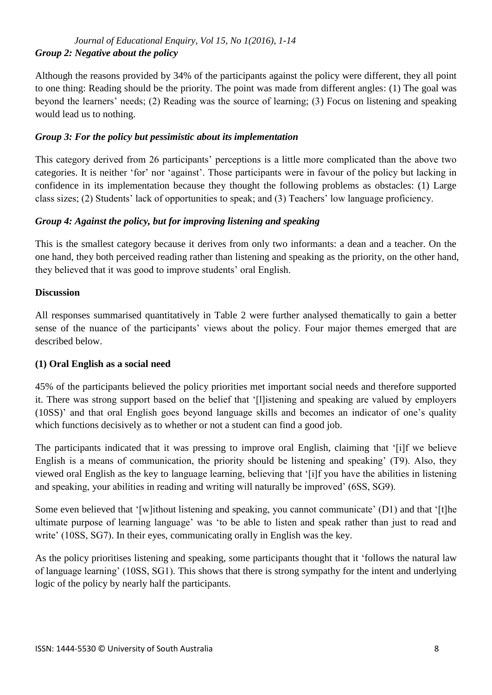## *Journal of Educational Enquiry, Vol 15, No 1(2016), 1-14 Group 2: Negative about the policy*

Although the reasons provided by 34% of the participants against the policy were different, they all point to one thing: Reading should be the priority. The point was made from different angles: (1) The goal was beyond the learners' needs; (2) Reading was the source of learning; (3) Focus on listening and speaking would lead us to nothing.

### *Group 3: For the policy but pessimistic about its implementation*

This category derived from 26 participants' perceptions is a little more complicated than the above two categories. It is neither 'for' nor 'against'. Those participants were in favour of the policy but lacking in confidence in its implementation because they thought the following problems as obstacles: (1) Large class sizes; (2) Students' lack of opportunities to speak; and (3) Teachers' low language proficiency.

# *Group 4: Against the policy, but for improving listening and speaking*

This is the smallest category because it derives from only two informants: a dean and a teacher. On the one hand, they both perceived reading rather than listening and speaking as the priority, on the other hand, they believed that it was good to improve students' oral English.

### **Discussion**

All responses summarised quantitatively in Table 2 were further analysed thematically to gain a better sense of the nuance of the participants' views about the policy. Four major themes emerged that are described below.

### **(1) Oral English as a social need**

45% of the participants believed the policy priorities met important social needs and therefore supported it. There was strong support based on the belief that '[l]istening and speaking are valued by employers (10SS)' and that oral English goes beyond language skills and becomes an indicator of one's quality which functions decisively as to whether or not a student can find a good job.

The participants indicated that it was pressing to improve oral English, claiming that '[i]f we believe English is a means of communication, the priority should be listening and speaking' (T9). Also, they viewed oral English as the key to language learning, believing that '[i]f you have the abilities in listening and speaking, your abilities in reading and writing will naturally be improved' (6SS, SG9).

Some even believed that '[w]ithout listening and speaking, you cannot communicate' (D1) and that '[t]he ultimate purpose of learning language' was 'to be able to listen and speak rather than just to read and write' (10SS, SG7). In their eyes, communicating orally in English was the key.

As the policy prioritises listening and speaking, some participants thought that it 'follows the natural law of language learning' (10SS, SG1). This shows that there is strong sympathy for the intent and underlying logic of the policy by nearly half the participants.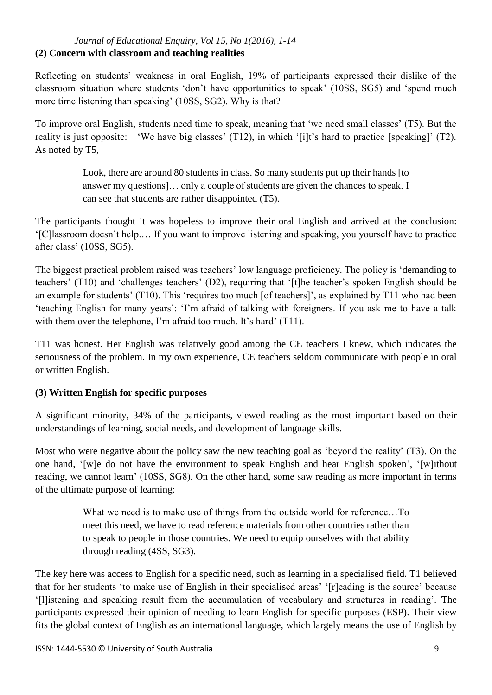#### *Journal of Educational Enquiry, Vol 15, No 1(2016), 1-14* **(2) Concern with classroom and teaching realities**

Reflecting on students' weakness in oral English, 19% of participants expressed their dislike of the classroom situation where students 'don't have opportunities to speak' (10SS, SG5) and 'spend much more time listening than speaking' (10SS, SG2). Why is that?

To improve oral English, students need time to speak, meaning that 'we need small classes' (T5). But the reality is just opposite: 'We have big classes' (T12), in which '[i]t's hard to practice [speaking]' (T2). As noted by T5,

> Look, there are around 80 students in class. So many students put up their hands [to answer my questions]… only a couple of students are given the chances to speak. I can see that students are rather disappointed (T5).

The participants thought it was hopeless to improve their oral English and arrived at the conclusion: '[C]lassroom doesn't help.… If you want to improve listening and speaking, you yourself have to practice after class' (10SS, SG5).

The biggest practical problem raised was teachers' low language proficiency. The policy is 'demanding to teachers' (T10) and 'challenges teachers' (D2), requiring that '[t]he teacher's spoken English should be an example for students' (T10). This 'requires too much [of teachers]', as explained by T11 who had been 'teaching English for many years': 'I'm afraid of talking with foreigners. If you ask me to have a talk with them over the telephone. I'm afraid too much. It's hard' (T11).

T11 was honest. Her English was relatively good among the CE teachers I knew, which indicates the seriousness of the problem. In my own experience, CE teachers seldom communicate with people in oral or written English.

# **(3) Written English for specific purposes**

A significant minority, 34% of the participants, viewed reading as the most important based on their understandings of learning, social needs, and development of language skills.

Most who were negative about the policy saw the new teaching goal as 'beyond the reality' (T3). On the one hand, '[w]e do not have the environment to speak English and hear English spoken', '[w]ithout reading, we cannot learn' (10SS, SG8). On the other hand, some saw reading as more important in terms of the ultimate purpose of learning:

> What we need is to make use of things from the outside world for reference...To meet this need, we have to read reference materials from other countries rather than to speak to people in those countries. We need to equip ourselves with that ability through reading (4SS, SG3).

The key here was access to English for a specific need, such as learning in a specialised field. T1 believed that for her students 'to make use of English in their specialised areas' '[r]eading is the source' because '[l]istening and speaking result from the accumulation of vocabulary and structures in reading'. The participants expressed their opinion of needing to learn English for specific purposes (ESP). Their view fits the global context of English as an international language, which largely means the use of English by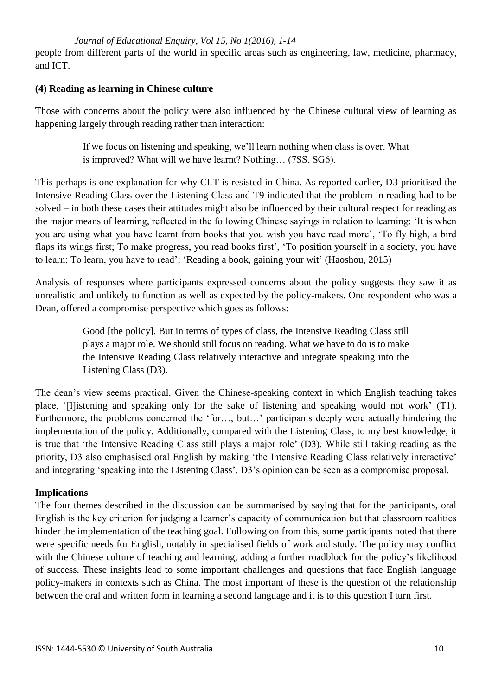*Journal of Educational Enquiry, Vol 15, No 1(2016), 1-14* people from different parts of the world in specific areas such as engineering, law, medicine, pharmacy, and ICT.

#### **(4) Reading as learning in Chinese culture**

Those with concerns about the policy were also influenced by the Chinese cultural view of learning as happening largely through reading rather than interaction:

> If we focus on listening and speaking, we'll learn nothing when class is over. What is improved? What will we have learnt? Nothing… (7SS, SG6).

This perhaps is one explanation for why CLT is resisted in China. As reported earlier, D3 prioritised the Intensive Reading Class over the Listening Class and T9 indicated that the problem in reading had to be solved – in both these cases their attitudes might also be influenced by their cultural respect for reading as the major means of learning, reflected in the following Chinese sayings in relation to learning: 'It is when you are using what you have learnt from books that you wish you have read more', 'To fly high, a bird flaps its wings first; To make progress, you read books first', 'To position yourself in a society, you have to learn; To learn, you have to read'; 'Reading a book, gaining your wit' (Haoshou, 2015)

Analysis of responses where participants expressed concerns about the policy suggests they saw it as unrealistic and unlikely to function as well as expected by the policy-makers. One respondent who was a Dean, offered a compromise perspective which goes as follows:

> Good [the policy]. But in terms of types of class, the Intensive Reading Class still plays a major role. We should still focus on reading. What we have to do is to make the Intensive Reading Class relatively interactive and integrate speaking into the Listening Class (D3).

The dean's view seems practical. Given the Chinese-speaking context in which English teaching takes place, '[l]istening and speaking only for the sake of listening and speaking would not work' (T1). Furthermore, the problems concerned the 'for…, but…' participants deeply were actually hindering the implementation of the policy. Additionally, compared with the Listening Class, to my best knowledge, it is true that 'the Intensive Reading Class still plays a major role' (D3). While still taking reading as the priority, D3 also emphasised oral English by making 'the Intensive Reading Class relatively interactive' and integrating 'speaking into the Listening Class'. D3's opinion can be seen as a compromise proposal.

### **Implications**

The four themes described in the discussion can be summarised by saying that for the participants, oral English is the key criterion for judging a learner's capacity of communication but that classroom realities hinder the implementation of the teaching goal. Following on from this, some participants noted that there were specific needs for English, notably in specialised fields of work and study. The policy may conflict with the Chinese culture of teaching and learning, adding a further roadblock for the policy's likelihood of success. These insights lead to some important challenges and questions that face English language policy-makers in contexts such as China. The most important of these is the question of the relationship between the oral and written form in learning a second language and it is to this question I turn first.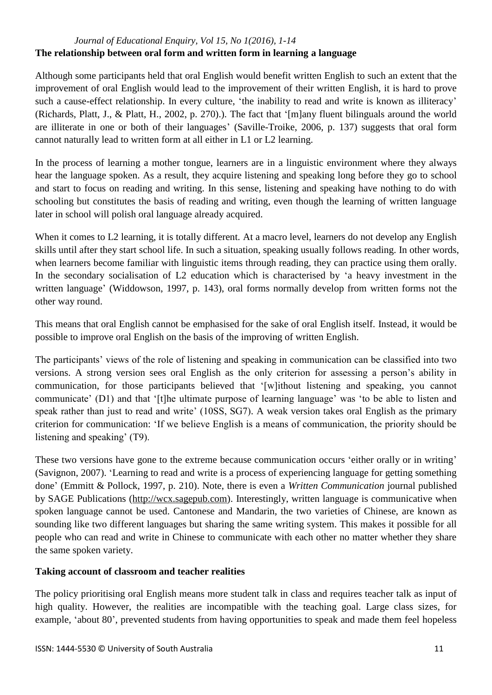### *Journal of Educational Enquiry, Vol 15, No 1(2016), 1-14* **The relationship between oral form and written form in learning a language**

Although some participants held that oral English would benefit written English to such an extent that the improvement of oral English would lead to the improvement of their written English, it is hard to prove such a cause-effect relationship. In every culture, 'the inability to read and write is known as illiteracy' (Richards, Platt, J., & Platt, H., 2002, p. 270).). The fact that '[m]any fluent bilinguals around the world are illiterate in one or both of their languages' (Saville-Troike, 2006, p. 137) suggests that oral form cannot naturally lead to written form at all either in L1 or L2 learning.

In the process of learning a mother tongue, learners are in a linguistic environment where they always hear the language spoken. As a result, they acquire listening and speaking long before they go to school and start to focus on reading and writing. In this sense, listening and speaking have nothing to do with schooling but constitutes the basis of reading and writing, even though the learning of written language later in school will polish oral language already acquired.

When it comes to L2 learning, it is totally different. At a macro level, learners do not develop any English skills until after they start school life. In such a situation, speaking usually follows reading. In other words, when learners become familiar with linguistic items through reading, they can practice using them orally. In the secondary socialisation of L2 education which is characterised by 'a heavy investment in the written language' (Widdowson, 1997, p. 143), oral forms normally develop from written forms not the other way round.

This means that oral English cannot be emphasised for the sake of oral English itself. Instead, it would be possible to improve oral English on the basis of the improving of written English.

The participants' views of the role of listening and speaking in communication can be classified into two versions. A strong version sees oral English as the only criterion for assessing a person's ability in communication, for those participants believed that '[w]ithout listening and speaking, you cannot communicate' (D1) and that '[t]he ultimate purpose of learning language' was 'to be able to listen and speak rather than just to read and write' (10SS, SG7). A weak version takes oral English as the primary criterion for communication: 'If we believe English is a means of communication, the priority should be listening and speaking' (T9).

These two versions have gone to the extreme because communication occurs 'either orally or in writing' (Savignon, 2007). 'Learning to read and write is a process of experiencing language for getting something done' (Emmitt & Pollock, 1997, p. 210). Note, there is even a *Written Communication* journal published by SAGE Publications [\(http://wcx.sagepub.com\)](http://wcx.sagepub.com/). Interestingly, written language is communicative when spoken language cannot be used. Cantonese and Mandarin, the two varieties of Chinese, are known as sounding like two different languages but sharing the same writing system. This makes it possible for all people who can read and write in Chinese to communicate with each other no matter whether they share the same spoken variety.

# **Taking account of classroom and teacher realities**

The policy prioritising oral English means more student talk in class and requires teacher talk as input of high quality. However, the realities are incompatible with the teaching goal. Large class sizes, for example, 'about 80', prevented students from having opportunities to speak and made them feel hopeless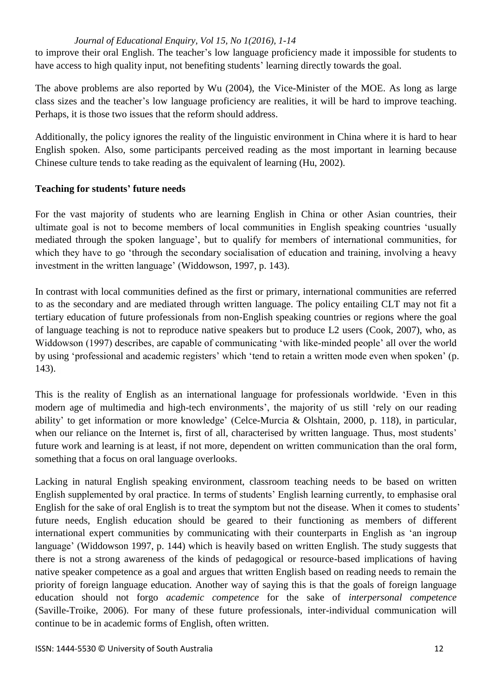to improve their oral English. The teacher's low language proficiency made it impossible for students to have access to high quality input, not benefiting students' learning directly towards the goal.

The above problems are also reported by Wu (2004), the Vice-Minister of the MOE. As long as large class sizes and the teacher's low language proficiency are realities, it will be hard to improve teaching. Perhaps, it is those two issues that the reform should address.

Additionally, the policy ignores the reality of the linguistic environment in China where it is hard to hear English spoken. Also, some participants perceived reading as the most important in learning because Chinese culture tends to take reading as the equivalent of learning (Hu, 2002).

### **Teaching for students' future needs**

For the vast majority of students who are learning English in China or other Asian countries, their ultimate goal is not to become members of local communities in English speaking countries 'usually mediated through the spoken language', but to qualify for members of international communities, for which they have to go 'through the secondary socialisation of education and training, involving a heavy investment in the written language' (Widdowson, 1997, p. 143).

In contrast with local communities defined as the first or primary, international communities are referred to as the secondary and are mediated through written language. The policy entailing CLT may not fit a tertiary education of future professionals from non-English speaking countries or regions where the goal of language teaching is not to reproduce native speakers but to produce L2 users (Cook, 2007), who, as Widdowson (1997) describes, are capable of communicating 'with like-minded people' all over the world by using 'professional and academic registers' which 'tend to retain a written mode even when spoken' (p. 143).

This is the reality of English as an international language for professionals worldwide. 'Even in this modern age of multimedia and high-tech environments', the majority of us still 'rely on our reading ability' to get information or more knowledge' (Celce-Murcia & Olshtain, 2000, p. 118), in particular, when our reliance on the Internet is, first of all, characterised by written language. Thus, most students' future work and learning is at least, if not more, dependent on written communication than the oral form, something that a focus on oral language overlooks.

Lacking in natural English speaking environment, classroom teaching needs to be based on written English supplemented by oral practice. In terms of students' English learning currently, to emphasise oral English for the sake of oral English is to treat the symptom but not the disease. When it comes to students' future needs, English education should be geared to their functioning as members of different international expert communities by communicating with their counterparts in English as 'an ingroup language' (Widdowson 1997, p. 144) which is heavily based on written English. The study suggests that there is not a strong awareness of the kinds of pedagogical or resource-based implications of having native speaker competence as a goal and argues that written English based on reading needs to remain the priority of foreign language education. Another way of saying this is that the goals of foreign language education should not forgo *academic competence* for the sake of *interpersonal competence* (Saville-Troike, 2006). For many of these future professionals, inter-individual communication will continue to be in academic forms of English, often written.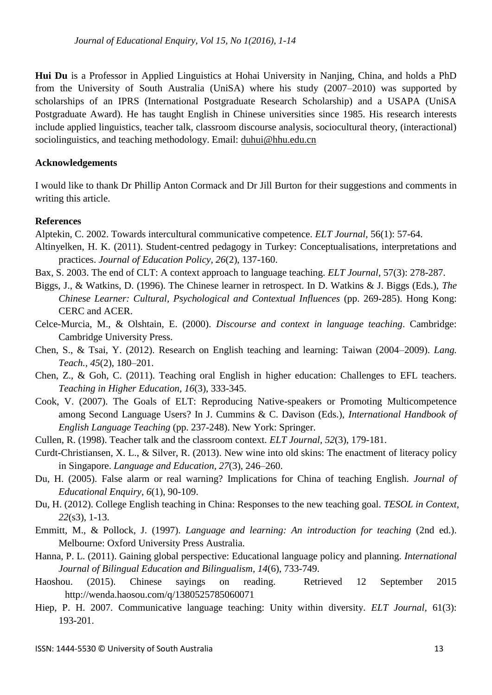**Hui Du** is a Professor in Applied Linguistics at Hohai University in Nanjing, China, and holds a PhD from the University of South Australia (UniSA) where his study (2007–2010) was supported by scholarships of an IPRS (International Postgraduate Research Scholarship) and a USAPA (UniSA Postgraduate Award). He has taught English in Chinese universities since 1985. His research interests include applied linguistics, teacher talk, classroom discourse analysis, sociocultural theory, (interactional) sociolinguistics, and teaching methodology. Email: [duhui@hhu.edu.cn](mailto:duhui@hhu.edu.cn)

#### **Acknowledgements**

I would like to thank Dr Phillip Anton Cormack and Dr Jill Burton for their suggestions and comments in writing this article.

#### **References**

Alptekin, C. 2002. Towards intercultural communicative competence. *ELT Journal,* 56(1): 57-64.

- Altinyelken, H. K. (2011). Student-centred pedagogy in Turkey: Conceptualisations, interpretations and practices. *Journal of Education Policy, 26*(2), 137-160.
- Bax, S. 2003. The end of CLT: A context approach to language teaching. *ELT Journal,* 57(3): 278-287.
- Biggs, J., & Watkins, D. (1996). The Chinese learner in retrospect. In D. Watkins & J. Biggs (Eds.), *The Chinese Learner: Cultural, Psychological and Contextual Influences* (pp. 269-285). Hong Kong: CERC and ACER.
- Celce-Murcia, M., & Olshtain, E. (2000). *Discourse and context in language teaching*. Cambridge: Cambridge University Press.
- Chen, S., & Tsai, Y. (2012). Research on English teaching and learning: Taiwan (2004–2009). *Lang. Teach., 45*(2), 180–201.
- Chen, Z., & Goh, C. (2011). Teaching oral English in higher education: Challenges to EFL teachers. *Teaching in Higher Education, 16*(3), 333-345.
- Cook, V. (2007). The Goals of ELT: Reproducing Native-speakers or Promoting Multicompetence among Second Language Users? In J. Cummins & C. Davison (Eds.), *International Handbook of English Language Teaching* (pp. 237-248). New York: Springer.
- Cullen, R. (1998). Teacher talk and the classroom context. *ELT Journal, 52*(3), 179-181.
- Curdt-Christiansen, X. L., & Silver, R. (2013). New wine into old skins: The enactment of literacy policy in Singapore. *Language and Education, 27*(3), 246–260.
- Du, H. (2005). False alarm or real warning? Implications for China of teaching English. *Journal of Educational Enquiry, 6*(1), 90-109.
- Du, H. (2012). College English teaching in China: Responses to the new teaching goal. *TESOL in Context, 22*(s3), 1-13.
- Emmitt, M., & Pollock, J. (1997). *Language and learning: An introduction for teaching (2nd ed.).* Melbourne: Oxford University Press Australia.
- Hanna, P. L. (2011). Gaining global perspective: Educational language policy and planning. *International Journal of Bilingual Education and Bilingualism, 14*(6), 733-749.
- Haoshou. (2015). Chinese sayings on reading. Retrieved 12 September 2015 http://wenda.haosou.com/q/1380525785060071
- Hiep, P. H. 2007. Communicative language teaching: Unity within diversity. *ELT Journal,* 61(3): 193-201.